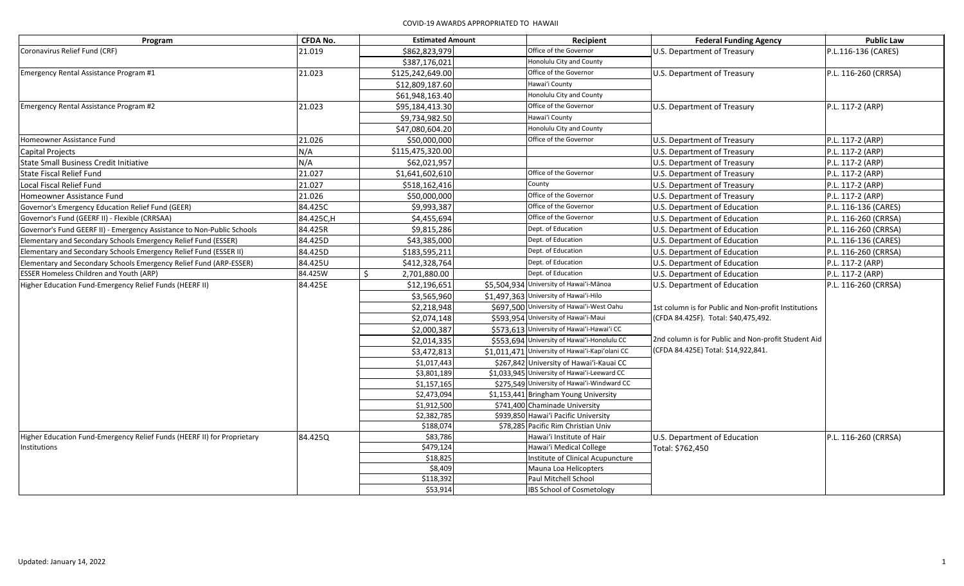| Program                                                                 | <b>CFDA No.</b> | <b>Estimated Amount</b> | Recipient                                       | <b>Federal Funding Agency</b>                                                                | <b>Public Law</b>    |
|-------------------------------------------------------------------------|-----------------|-------------------------|-------------------------------------------------|----------------------------------------------------------------------------------------------|----------------------|
| Coronavirus Relief Fund (CRF)                                           | 21.019          | \$862,823,979           | Office of the Governor                          | U.S. Department of Treasury                                                                  | P.L.116-136 (CARES)  |
|                                                                         |                 | \$387,176,021           | Honolulu City and County                        |                                                                                              |                      |
| Emergency Rental Assistance Program #1                                  | 21.023          | \$125,242,649.00        | Office of the Governor                          | U.S. Department of Treasury                                                                  | P.L. 116-260 (CRRSA) |
|                                                                         |                 | \$12,809,187.60         | Hawai'i County                                  |                                                                                              |                      |
|                                                                         |                 | \$61,948,163.40         | Honolulu City and County                        |                                                                                              |                      |
| <b>Emergency Rental Assistance Program #2</b>                           | 21.023          | \$95,184,413.30         | Office of the Governor                          | U.S. Department of Treasury                                                                  | P.L. 117-2 (ARP)     |
|                                                                         |                 | \$9,734,982.50          | Hawai'i County                                  |                                                                                              |                      |
|                                                                         |                 | \$47,080,604.20         | Honolulu City and County                        |                                                                                              |                      |
| Homeowner Assistance Fund                                               | 21.026          | \$50,000,000            | Office of the Governor                          | U.S. Department of Treasury                                                                  | P.L. 117-2 (ARP)     |
| <b>Capital Projects</b>                                                 | N/A             | \$115,475,320.00        |                                                 | U.S. Department of Treasury                                                                  | P.L. 117-2 (ARP)     |
| State Small Business Credit Initiative                                  | N/A             | \$62,021,957            |                                                 | U.S. Department of Treasury                                                                  | P.L. 117-2 (ARP)     |
| State Fiscal Relief Fund                                                | 21.027          | \$1,641,602,610         | Office of the Governor                          | U.S. Department of Treasury                                                                  | P.L. 117-2 (ARP)     |
| Local Fiscal Relief Fund                                                | 21.027          | \$518,162,416           | County                                          | U.S. Department of Treasury                                                                  | P.L. 117-2 (ARP)     |
| Homeowner Assistance Fund                                               | 21.026          | \$50,000,000            | Office of the Governor                          | U.S. Department of Treasury                                                                  | P.L. 117-2 (ARP)     |
| Governor's Emergency Education Relief Fund (GEER)                       | 84.425C         | \$9,993,387             | Office of the Governor                          | U.S. Department of Education                                                                 | P.L. 116-136 (CARES) |
| Governor's Fund (GEERF II) - Flexible (CRRSAA)                          | 84.425C,H       | \$4,455,694             | Office of the Governor                          | U.S. Department of Education                                                                 | P.L. 116-260 (CRRSA) |
| Governor's Fund GEERF II) - Emergency Assistance to Non-Public Schools  | 84.425R         | \$9,815,286             | Dept. of Education                              | U.S. Department of Education                                                                 | P.L. 116-260 (CRRSA) |
| Elementary and Secondary Schools Emergency Relief Fund (ESSER)          | 84.425D         | \$43,385,000            | Dept. of Education                              | U.S. Department of Education                                                                 | P.L. 116-136 (CARES) |
| Elementary and Secondary Schools Emergency Relief Fund (ESSER II)       | 84.425D         | \$183,595,211           | Dept. of Education                              | U.S. Department of Education                                                                 | P.L. 116-260 (CRRSA) |
| Elementary and Secondary Schools Emergency Relief Fund (ARP-ESSER)      | 84.425U         | \$412,328,764           | Dept. of Education                              | U.S. Department of Education                                                                 | P.L. 117-2 (ARP)     |
| <b>ESSER Homeless Children and Youth (ARP)</b>                          | 84.425W         | Ś.<br>2,701,880.00      | Dept. of Education                              | U.S. Department of Education                                                                 | P.L. 117-2 (ARP)     |
| Higher Education Fund-Emergency Relief Funds (HEERF II)                 | 84.425E         | \$12,196,651            | \$5,504,934 University of Hawai'i-Mānoa         | U.S. Department of Education                                                                 | P.L. 116-260 (CRRSA) |
|                                                                         |                 | \$3,565,960             | \$1,497,363 University of Hawai'i-Hilo          |                                                                                              |                      |
|                                                                         |                 | \$2,218,948             | \$697,500 University of Hawai'i-West Oahu       | 1st column is for Public and Non-profit Institutions<br>(CFDA 84.425F). Total: \$40,475,492. |                      |
|                                                                         |                 | \$2,074,148             | \$593,954 University of Hawai'i-Maui            |                                                                                              |                      |
|                                                                         |                 | \$2,000,387             | \$573,613 University of Hawai'i-Hawai'i CC      |                                                                                              |                      |
|                                                                         |                 | \$2,014,335             | \$553,694 University of Hawai'i-Honolulu CC     | 2nd column is for Public and Non-profit Student Aid                                          |                      |
|                                                                         |                 | \$3,472,813             | \$1,011,471 University of Hawai'i-Kapi'olani CC | (CFDA 84.425E) Total: \$14,922,841.                                                          |                      |
|                                                                         |                 | \$1,017,443             | \$267,842 University of Hawai'i-Kauai CC        |                                                                                              |                      |
|                                                                         |                 | \$3,801,189             | \$1,033,945 University of Hawai'i-Leeward CC    |                                                                                              |                      |
|                                                                         |                 | \$1,157,165             | \$275,549 University of Hawai'i-Windward CC     |                                                                                              |                      |
|                                                                         |                 | \$2,473,094             | \$1,153,441 Bringham Young University           |                                                                                              |                      |
|                                                                         |                 | \$1,912,500             | \$741,400 Chaminade University                  |                                                                                              |                      |
|                                                                         |                 | \$2,382,785             | \$939,850 Hawai'i Pacific University            |                                                                                              |                      |
|                                                                         |                 | \$188,074               | \$78,285 Pacific Rim Christian Univ             |                                                                                              |                      |
| Higher Education Fund-Emergency Relief Funds (HEERF II) for Proprietary | 84.425Q         | \$83,786                | Hawai'i Institute of Hair                       | U.S. Department of Education                                                                 | P.L. 116-260 (CRRSA) |
| Institutions                                                            |                 | \$479,124               | Hawai'i Medical College                         | Total: \$762,450                                                                             |                      |
|                                                                         |                 | \$18,825                | Institute of Clinical Acupuncture               |                                                                                              |                      |
|                                                                         |                 | \$8,409                 | Mauna Loa Helicopters                           |                                                                                              |                      |
|                                                                         |                 | \$118,392               | Paul Mitchell School                            |                                                                                              |                      |
|                                                                         |                 | \$53,914                | <b>IBS School of Cosmetology</b>                |                                                                                              |                      |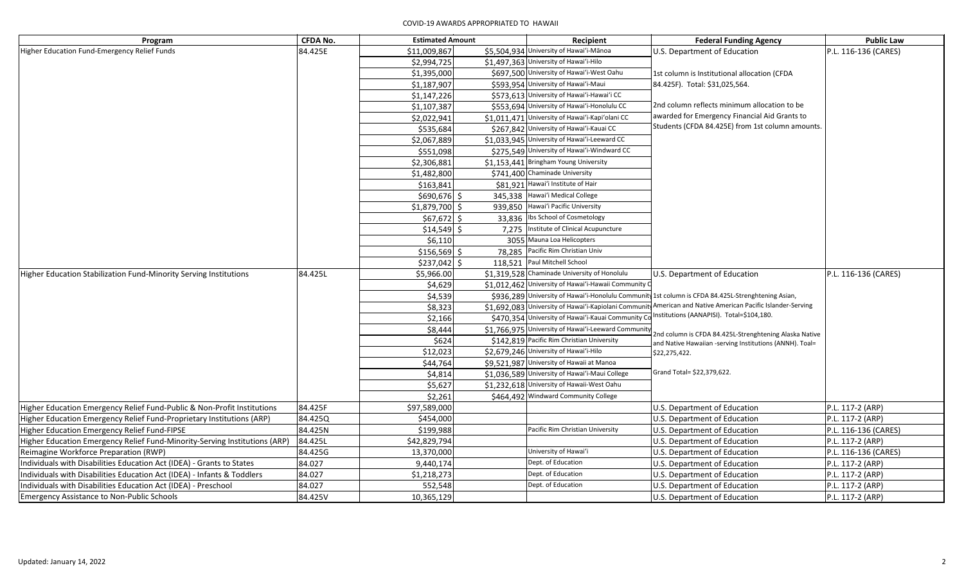## COVID-19 AWARDS APPROPRIATED TO HAWAII

| Program                                                                    | <b>CFDA No.</b> | <b>Estimated Amount</b> | Recipient                                            | <b>Federal Funding Agency</b>                                                                                     | <b>Public Law</b>    |
|----------------------------------------------------------------------------|-----------------|-------------------------|------------------------------------------------------|-------------------------------------------------------------------------------------------------------------------|----------------------|
| Higher Education Fund-Emergency Relief Funds                               | 84.425E         | \$11,009,867            | \$5,504,934 University of Hawai'i-Mānoa              | U.S. Department of Education                                                                                      | P.L. 116-136 (CARES) |
|                                                                            |                 | \$2,994,725             | \$1,497,363 University of Hawai'i-Hilo               |                                                                                                                   |                      |
|                                                                            |                 | \$1,395,000             | \$697,500 University of Hawai'i-West Oahu            | 1st column is Institutional allocation (CFDA                                                                      |                      |
|                                                                            |                 | \$1,187,907             | \$593,954 University of Hawai'i-Maui                 | 84.425F). Total: \$31,025,564.                                                                                    |                      |
|                                                                            |                 | \$1,147,226             | \$573,613 University of Hawai'i-Hawai'i CC           |                                                                                                                   |                      |
|                                                                            |                 | \$1,107,387             | \$553,694 University of Hawai'i-Honolulu CC          | 2nd column reflects minimum allocation to be                                                                      |                      |
|                                                                            |                 | \$2,022,941             | \$1,011,471 University of Hawai'i-Kapi'olani CC      | awarded for Emergency Financial Aid Grants to                                                                     |                      |
|                                                                            |                 | \$535,684               | \$267,842 University of Hawai'i-Kauai CC             | Students (CFDA 84.425E) from 1st column amounts.                                                                  |                      |
|                                                                            |                 | \$2,067,889             | \$1,033,945 University of Hawai'i-Leeward CC         |                                                                                                                   |                      |
|                                                                            |                 | \$551,098               | \$275,549 University of Hawai'i-Windward CC          |                                                                                                                   |                      |
|                                                                            |                 | \$2,306,881             | \$1,153,441 Bringham Young University                |                                                                                                                   |                      |
|                                                                            |                 | \$1,482,800             | \$741,400 Chaminade University                       |                                                                                                                   |                      |
|                                                                            |                 | \$163,841               | \$81,921 Hawai'i Institute of Hair                   |                                                                                                                   |                      |
|                                                                            |                 | $$690,676$ \$           | 345,338 Hawai'i Medical College                      |                                                                                                                   |                      |
|                                                                            |                 | $$1,879,700$ \$         | 939,850 Hawai'i Pacific University                   |                                                                                                                   |                      |
|                                                                            |                 | $$67,672$ \$            | 33,836 Ibs School of Cosmetology                     |                                                                                                                   |                      |
|                                                                            |                 | $$14,549$ \$            | 7,275 Institute of Clinical Acupuncture              |                                                                                                                   |                      |
|                                                                            |                 | \$6,110                 | 3055 Mauna Loa Helicopters                           |                                                                                                                   |                      |
|                                                                            |                 | $$156,569$ \$           | 78,285 Pacific Rim Christian Univ                    |                                                                                                                   |                      |
|                                                                            |                 | $$237,042$ \$           | 118,521 Paul Mitchell School                         |                                                                                                                   |                      |
| Higher Education Stabilization Fund-Minority Serving Institutions          | 84.425L         | \$5,966.00              | \$1,319,528 Chaminade University of Honolulu         | U.S. Department of Education                                                                                      | P.L. 116-136 (CARES) |
|                                                                            |                 | \$4,629                 | \$1,012,462 University of Hawai'i-Hawaii Community C |                                                                                                                   |                      |
|                                                                            |                 | \$4,539                 |                                                      | \$936,289 University of Hawai'i-Honolulu Community 1st column is CFDA 84.425L-Strenghtening Asian,                |                      |
|                                                                            |                 | \$8,323                 |                                                      | \$1,692,083 University of Hawai'i-Kapiolani Community American and Native American Pacific Islander-Serving       |                      |
|                                                                            |                 | \$2,166                 | \$470,354 University of Hawai'i-Kauai Community Co   | nstitutions (AANAPISI). Total=\$104,180.                                                                          |                      |
|                                                                            |                 | \$8,444                 | \$1,766,975 University of Hawai'i-Leeward Community  |                                                                                                                   |                      |
|                                                                            |                 | \$624                   | \$142,819 Pacific Rim Christian University           | 2nd column is CFDA 84.425L-Strenghtening Alaska Native<br>and Native Hawaiian -serving Institutions (ANNH). Toal= |                      |
|                                                                            |                 | \$12,023                | \$2,679,246 University of Hawai'i-Hilo               | \$22,275,422.                                                                                                     |                      |
|                                                                            |                 | \$44,764                | \$9,521,987 University of Hawaii at Manoa            |                                                                                                                   |                      |
|                                                                            |                 | \$4,814                 | \$1,036,589 University of Hawai'i-Maui College       | Grand Total= \$22,379,622.                                                                                        |                      |
|                                                                            |                 | \$5,627                 | \$1,232,618 University of Hawaii-West Oahu           |                                                                                                                   |                      |
|                                                                            |                 | \$2,261                 | \$464,492 Windward Community College                 |                                                                                                                   |                      |
| Higher Education Emergency Relief Fund-Public & Non-Profit Institutions    | 84.425F         | \$97,589,000            |                                                      | U.S. Department of Education                                                                                      | P.L. 117-2 (ARP)     |
| Higher Education Emergency Relief Fund-Proprietary Institutions (ARP)      | 84.425Q         | \$454,000               |                                                      | U.S. Department of Education                                                                                      | P.L. 117-2 (ARP)     |
| Higher Education Emergency Relief Fund-FIPSE                               | 84.425N         | \$199,988               | Pacific Rim Christian University                     | U.S. Department of Education                                                                                      | P.L. 116-136 (CARES) |
| Higher Education Emergency Relief Fund-Minority-Serving Institutions (ARP) | 84.425L         | \$42,829,794            |                                                      | U.S. Department of Education                                                                                      | P.L. 117-2 (ARP)     |
| Reimagine Workforce Preparation (RWP)                                      | 84.425G         | 13,370,000              | University of Hawai'i                                | U.S. Department of Education                                                                                      | P.L. 116-136 (CARES) |
| Individuals with Disabilities Education Act (IDEA) - Grants to States      | 84.027          | 9,440,174               | Dept. of Education                                   | U.S. Department of Education                                                                                      | P.L. 117-2 (ARP)     |
| Individuals with Disabilities Education Act (IDEA) - Infants & Toddlers    | 84.027          | \$1,218,273             | Dept. of Education                                   | U.S. Department of Education                                                                                      | P.L. 117-2 (ARP)     |
| Individuals with Disabilities Education Act (IDEA) - Preschool             | 84.027          | 552,548                 | Dept. of Education                                   | U.S. Department of Education                                                                                      | P.L. 117-2 (ARP)     |
| <b>Emergency Assistance to Non-Public Schools</b>                          | 84.425V         | 10,365,129              |                                                      | U.S. Department of Education                                                                                      | P.L. 117-2 (ARP)     |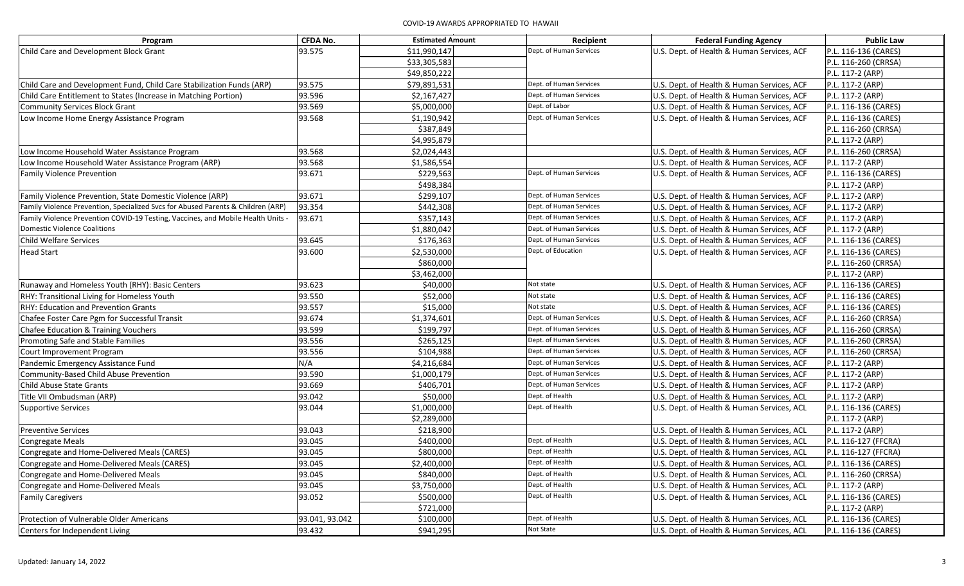| Program                                                                          | <b>CFDA No.</b> | <b>Estimated Amount</b> | Recipient               | <b>Federal Funding Agency</b>              | <b>Public Law</b>    |
|----------------------------------------------------------------------------------|-----------------|-------------------------|-------------------------|--------------------------------------------|----------------------|
| Child Care and Development Block Grant                                           | 93.575          | \$11,990,147            | Dept. of Human Services | U.S. Dept. of Health & Human Services, ACF | P.L. 116-136 (CARES) |
|                                                                                  |                 | \$33,305,583            |                         |                                            | P.L. 116-260 (CRRSA) |
|                                                                                  |                 | \$49,850,222            |                         |                                            | P.L. 117-2 (ARP)     |
| Child Care and Development Fund, Child Care Stabilization Funds (ARP)            | 93.575          | \$79,891,531            | Dept. of Human Services | U.S. Dept. of Health & Human Services, ACF | P.L. 117-2 (ARP)     |
| Child Care Entitlement to States (Increase in Matching Portion)                  | 93.596          | \$2,167,427             | Dept. of Human Services | U.S. Dept. of Health & Human Services, ACF | P.L. 117-2 (ARP)     |
| <b>Community Services Block Grant</b>                                            | 93.569          | \$5,000,000             | Dept. of Labor          | U.S. Dept. of Health & Human Services, ACF | P.L. 116-136 (CARES) |
| Low Income Home Energy Assistance Program                                        | 93.568          | \$1,190,942             | Dept. of Human Services | U.S. Dept. of Health & Human Services, ACF | P.L. 116-136 (CARES) |
|                                                                                  |                 | \$387,849               |                         |                                            | P.L. 116-260 (CRRSA) |
|                                                                                  |                 | \$4,995,879             |                         |                                            | P.L. 117-2 (ARP)     |
| Low Income Household Water Assistance Program                                    | 93.568          | \$2,024,443             |                         | U.S. Dept. of Health & Human Services, ACF | P.L. 116-260 (CRRSA) |
| Low Income Household Water Assistance Program (ARP)                              | 93.568          | \$1,586,554             |                         | U.S. Dept. of Health & Human Services, ACF | P.L. 117-2 (ARP)     |
| <b>Family Violence Prevention</b>                                                | 93.671          | \$229,563               | Dept. of Human Services | U.S. Dept. of Health & Human Services, ACF | P.L. 116-136 (CARES) |
|                                                                                  |                 | \$498,384               |                         |                                            | P.L. 117-2 (ARP)     |
| Family Violence Prevention, State Domestic Violence (ARP)                        | 93.671          | \$299,107               | Dept. of Human Services | U.S. Dept. of Health & Human Services, ACF | P.L. 117-2 (ARP)     |
| Family Violence Prevention, Specialized Svcs for Abused Parents & Children (ARP) | 93.354          | \$442,308               | Dept. of Human Services | U.S. Dept. of Health & Human Services, ACF | P.L. 117-2 (ARP)     |
| Family Violence Prevention COVID-19 Testing, Vaccines, and Mobile Health Units - | 93.671          | \$357,143               | Dept. of Human Services | U.S. Dept. of Health & Human Services, ACF | P.L. 117-2 (ARP)     |
| <b>Domestic Violence Coalitions</b>                                              |                 | \$1,880,042             | Dept. of Human Services | U.S. Dept. of Health & Human Services, ACF | P.L. 117-2 (ARP)     |
| <b>Child Welfare Services</b>                                                    | 93.645          | \$176,363               | Dept. of Human Services | U.S. Dept. of Health & Human Services, ACF | P.L. 116-136 (CARES) |
| <b>Head Start</b>                                                                | 93.600          | \$2,530,000             | Dept. of Education      | U.S. Dept. of Health & Human Services, ACF | P.L. 116-136 (CARES) |
|                                                                                  |                 | \$860,000               |                         |                                            | P.L. 116-260 (CRRSA) |
|                                                                                  |                 | \$3,462,000             |                         |                                            | P.L. 117-2 (ARP)     |
| Runaway and Homeless Youth (RHY): Basic Centers                                  | 93.623          | \$40,000                | Not state               | U.S. Dept. of Health & Human Services, ACF | P.L. 116-136 (CARES) |
| RHY: Transitional Living for Homeless Youth                                      | 93.550          | \$52,000                | Not state               | U.S. Dept. of Health & Human Services, ACF | P.L. 116-136 (CARES) |
| RHY: Education and Prevention Grants                                             | 93.557          | \$15,000                | Not state               | U.S. Dept. of Health & Human Services, ACF | P.L. 116-136 (CARES) |
| Chafee Foster Care Pgm for Successful Transit                                    | 93.674          | \$1,374,601             | Dept. of Human Services | U.S. Dept. of Health & Human Services, ACF | P.L. 116-260 (CRRSA) |
| Chafee Education & Training Vouchers                                             | 93.599          | \$199,797               | Dept. of Human Services | U.S. Dept. of Health & Human Services, ACF | P.L. 116-260 (CRRSA) |
| Promoting Safe and Stable Families                                               | 93.556          | \$265,125               | Dept. of Human Services | U.S. Dept. of Health & Human Services, ACF | P.L. 116-260 (CRRSA) |
| Court Improvement Program                                                        | 93.556          | \$104,988               | Dept. of Human Services | U.S. Dept. of Health & Human Services, ACF | P.L. 116-260 (CRRSA) |
| Pandemic Emergency Assistance Fund                                               | N/A             | \$4,216,684             | Dept. of Human Services | U.S. Dept. of Health & Human Services, ACF | P.L. 117-2 (ARP)     |
| Community-Based Child Abuse Prevention                                           | 93.590          | \$1,000,179             | Dept. of Human Services | U.S. Dept. of Health & Human Services, ACF | P.L. 117-2 (ARP)     |
| <b>Child Abuse State Grants</b>                                                  | 93.669          | \$406,701               | Dept. of Human Services | U.S. Dept. of Health & Human Services, ACF | P.L. 117-2 (ARP)     |
| Title VII Ombudsman (ARP)                                                        | 93.042          | \$50,000                | Dept. of Health         | U.S. Dept. of Health & Human Services, ACL | P.L. 117-2 (ARP)     |
| <b>Supportive Services</b>                                                       | 93.044          | \$1,000,000             | Dept. of Health         | U.S. Dept. of Health & Human Services, ACL | P.L. 116-136 (CARES) |
|                                                                                  |                 | \$2,289,000             |                         |                                            | P.L. 117-2 (ARP)     |
| <b>Preventive Services</b>                                                       | 93.043          | \$218,900               |                         | U.S. Dept. of Health & Human Services, ACL | P.L. 117-2 (ARP)     |
| <b>Congregate Meals</b>                                                          | 93.045          | \$400,000               | Dept. of Health         | U.S. Dept. of Health & Human Services, ACL | P.L. 116-127 (FFCRA) |
| Congregate and Home-Delivered Meals (CARES)                                      | 93.045          | \$800,000               | Dept. of Health         | U.S. Dept. of Health & Human Services, ACL | P.L. 116-127 (FFCRA) |
| Congregate and Home-Delivered Meals (CARES)                                      | 93.045          | \$2,400,000             | Dept. of Health         | U.S. Dept. of Health & Human Services, ACL | P.L. 116-136 (CARES) |
| Congregate and Home-Delivered Meals                                              | 93.045          | \$840,000               | Dept. of Health         | U.S. Dept. of Health & Human Services, ACL | P.L. 116-260 (CRRSA) |
| Congregate and Home-Delivered Meals                                              | 93.045          | \$3,750,000             | Dept. of Health         | U.S. Dept. of Health & Human Services, ACL | P.L. 117-2 (ARP)     |
| <b>Family Caregivers</b>                                                         | 93.052          | \$500,000               | Dept. of Health         | U.S. Dept. of Health & Human Services, ACL | P.L. 116-136 (CARES) |
|                                                                                  |                 | \$721,000               |                         |                                            | P.L. 117-2 (ARP)     |
| Protection of Vulnerable Older Americans                                         | 93.041, 93.042  | \$100,000               | Dept. of Health         | U.S. Dept. of Health & Human Services, ACL | P.L. 116-136 (CARES) |
| Centers for Independent Living                                                   | 93.432          | \$941,295               | Not State               | U.S. Dept. of Health & Human Services, ACL | P.L. 116-136 (CARES) |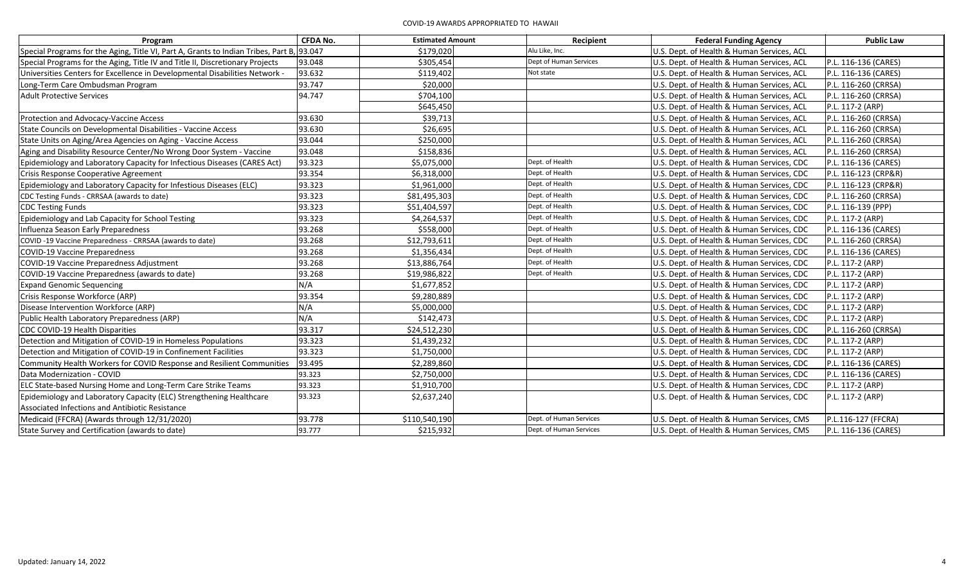| Program                                                                                   | <b>CFDA No.</b> | <b>Estimated Amount</b> | Recipient               | <b>Federal Funding Agency</b>              | <b>Public Law</b>    |
|-------------------------------------------------------------------------------------------|-----------------|-------------------------|-------------------------|--------------------------------------------|----------------------|
| Special Programs for the Aging, Title VI, Part A, Grants to Indian Tribes, Part B, 93.047 |                 | \$179,020               | Alu Like, Inc.          | U.S. Dept. of Health & Human Services, ACL |                      |
| Special Programs for the Aging, Title IV and Title II, Discretionary Projects             | 93.048          | \$305,454               | Dept of Human Services  | U.S. Dept. of Health & Human Services, ACL | P.L. 116-136 (CARES) |
| Universities Centers for Excellence in Developmental Disabilities Network -               | 93.632          | \$119,402               | Not state               | U.S. Dept. of Health & Human Services, ACL | P.L. 116-136 (CARES) |
| Long-Term Care Ombudsman Program                                                          | 93.747          | \$20,000                |                         | U.S. Dept. of Health & Human Services, ACL | P.L. 116-260 (CRRSA) |
| <b>Adult Protective Services</b>                                                          | 94.747          | \$704,100               |                         | U.S. Dept. of Health & Human Services, ACL | P.L. 116-260 (CRRSA) |
|                                                                                           |                 | \$645,450               |                         | U.S. Dept. of Health & Human Services, ACL | P.L. 117-2 (ARP)     |
| Protection and Advocacy-Vaccine Access                                                    | 93.630          | \$39,713                |                         | U.S. Dept. of Health & Human Services, ACL | P.L. 116-260 (CRRSA) |
| State Councils on Developmental Disabilities - Vaccine Access                             | 93.630          | \$26,695                |                         | U.S. Dept. of Health & Human Services, ACL | P.L. 116-260 (CRRSA) |
| State Units on Aging/Area Agencies on Aging - Vaccine Access                              | 93.044          | \$250,000               |                         | U.S. Dept. of Health & Human Services, ACL | P.L. 116-260 (CRRSA) |
| Aging and Disability Resource Center/No Wrong Door System - Vaccine                       | 93.048          | \$158,836               |                         | U.S. Dept. of Health & Human Services, ACL | P.L. 116-260 (CRRSA) |
| Epidemiology and Laboratory Capacity for Infectious Diseases (CARES Act)                  | 93.323          | \$5,075,000             | Dept. of Health         | U.S. Dept. of Health & Human Services, CDC | P.L. 116-136 (CARES) |
| Crisis Response Cooperative Agreement                                                     | 93.354          | \$6,318,000             | Dept. of Health         | U.S. Dept. of Health & Human Services, CDC | P.L. 116-123 (CRP&R) |
| Epidemiology and Laboratory Capacity for Infestious Diseases (ELC)                        | 93.323          | \$1,961,000             | Dept. of Health         | U.S. Dept. of Health & Human Services, CDC | P.L. 116-123 (CRP&R) |
| CDC Testing Funds - CRRSAA (awards to date)                                               | 93.323          | \$81,495,303            | Dept. of Health         | U.S. Dept. of Health & Human Services, CDC | P.L. 116-260 (CRRSA) |
| <b>CDC Testing Funds</b>                                                                  | 93.323          | \$51,404,597            | Dept. of Health         | U.S. Dept. of Health & Human Services, CDC | P.L. 116-139 (PPP)   |
| Epidemiology and Lab Capacity for School Testing                                          | 93.323          | \$4,264,537             | Dept. of Health         | U.S. Dept. of Health & Human Services, CDC | P.L. 117-2 (ARP)     |
| Influenza Season Early Preparedness                                                       | 93.268          | \$558,000               | Dept. of Health         | U.S. Dept. of Health & Human Services, CDC | P.L. 116-136 (CARES) |
| COVID-19 Vaccine Preparedness - CRRSAA (awards to date)                                   | 93.268          | \$12,793,611            | Dept. of Health         | U.S. Dept. of Health & Human Services, CDC | P.L. 116-260 (CRRSA) |
| <b>COVID-19 Vaccine Preparedness</b>                                                      | 93.268          | \$1,356,434             | Dept. of Health         | U.S. Dept. of Health & Human Services, CDC | P.L. 116-136 (CARES) |
| COVID-19 Vaccine Preparedness Adjustment                                                  | 93.268          | \$13,886,764            | Dept. of Health         | U.S. Dept. of Health & Human Services, CDC | P.L. 117-2 (ARP)     |
| COVID-19 Vaccine Preparedness (awards to date)                                            | 93.268          | \$19,986,822            | Dept. of Health         | U.S. Dept. of Health & Human Services, CDC | P.L. 117-2 (ARP)     |
| <b>Expand Genomic Sequencing</b>                                                          | N/A             | \$1,677,852             |                         | U.S. Dept. of Health & Human Services, CDC | P.L. 117-2 (ARP)     |
| Crisis Response Workforce (ARP)                                                           | 93.354          | \$9,280,889             |                         | U.S. Dept. of Health & Human Services, CDC | P.L. 117-2 (ARP)     |
| Disease Intervention Workforce (ARP)                                                      | N/A             | \$5,000,000             |                         | U.S. Dept. of Health & Human Services, CDC | P.L. 117-2 (ARP)     |
| Public Health Laboratory Preparedness (ARP)                                               | N/A             | \$142,473               |                         | U.S. Dept. of Health & Human Services, CDC | P.L. 117-2 (ARP)     |
| CDC COVID-19 Health Disparities                                                           | 93.317          | \$24,512,230            |                         | U.S. Dept. of Health & Human Services, CDC | P.L. 116-260 (CRRSA) |
| Detection and Mitigation of COVID-19 in Homeless Populations                              | 93.323          | \$1,439,232             |                         | U.S. Dept. of Health & Human Services, CDC | P.L. 117-2 (ARP)     |
| Detection and Mitigation of COVID-19 in Confinement Facilities                            | 93.323          | \$1,750,000             |                         | U.S. Dept. of Health & Human Services, CDC | P.L. 117-2 (ARP)     |
| Community Health Workers for COVID Response and Resilient Communities                     | 93.495          | \$2,289,860             |                         | U.S. Dept. of Health & Human Services, CDC | P.L. 116-136 (CARES) |
| Data Modernization - COVID                                                                | 93.323          | \$2,750,000             |                         | U.S. Dept. of Health & Human Services, CDC | P.L. 116-136 (CARES) |
| ELC State-based Nursing Home and Long-Term Care Strike Teams                              | 93.323          | \$1,910,700             |                         | U.S. Dept. of Health & Human Services, CDC | P.L. 117-2 (ARP)     |
| Epidemiology and Laboratory Capacity (ELC) Strengthening Healthcare                       | 93.323          | \$2,637,240             |                         | U.S. Dept. of Health & Human Services, CDC | P.L. 117-2 (ARP)     |
| Associated Infections and Antibiotic Resistance                                           |                 |                         |                         |                                            |                      |
| Medicaid (FFCRA) (Awards through 12/31/2020)                                              | 93.778          | \$110,540,190           | Dept. of Human Services | U.S. Dept. of Health & Human Services, CMS | P.L.116-127 (FFCRA)  |
| State Survey and Certification (awards to date)                                           | 93.777          | \$215,932               | Dept. of Human Services | U.S. Dept. of Health & Human Services, CMS | P.L. 116-136 (CARES) |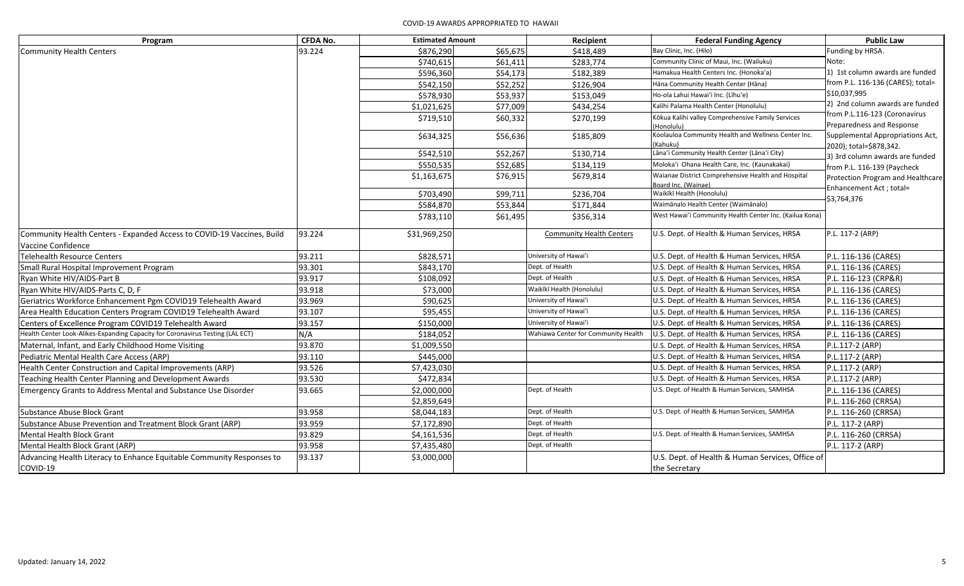## COVID-19 AWARDS APPROPRIATED TO HAWAII

| Program                                                                        | <b>CFDA No.</b> | <b>Estimated Amount</b> |          | Recipient                           | <b>Federal Funding Agency</b>                           | <b>Public Law</b>                 |
|--------------------------------------------------------------------------------|-----------------|-------------------------|----------|-------------------------------------|---------------------------------------------------------|-----------------------------------|
| <b>Community Health Centers</b>                                                | 93.224          | \$876,290               | \$65,675 | \$418,489                           | Bay Clinic, Inc. (Hilo)                                 | Funding by HRSA.                  |
|                                                                                |                 | \$740,615               | \$61,411 | \$283,774                           | Community Clinic of Maui, Inc. (Wailuku)                | Note:                             |
|                                                                                |                 | \$596,360               | \$54,173 | \$182,389                           | Hamakua Health Centers Inc. (Honoka'a)                  | 1) 1st column awards are funded   |
|                                                                                |                 | \$542,150               | \$52,252 | \$126,904                           | Hāna Community Health Center (Hāna)                     | from P.L. 116-136 (CARES); total= |
|                                                                                |                 | \$578,930               | \$53,937 | \$153,049                           | Ho-ola Lahui Hawai'i Inc. (Līhu'e)                      | \$10,037,995                      |
|                                                                                |                 | \$1,021,625             | \$77,009 | \$434,254                           | Kalihi Palama Health Center (Honolulu)                  | 2) 2nd column awards are funded   |
|                                                                                |                 | \$719,510               | \$60,332 | \$270,199                           | Kōkua Kalihi valley Comprehensive Family Services       | from P.L.116-123 (Coronavirus     |
|                                                                                |                 |                         |          |                                     | Honolulu)                                               | Preparedness and Response         |
|                                                                                |                 | \$634,325               | \$56,636 | \$185,809                           | Koolauloa Community Health and Wellness Center Inc.     | Supplemental Appropriations Act,  |
|                                                                                |                 | \$542,510               | \$52,267 | \$130,714                           | Kahuku)<br>Lāna'i Community Health Center (Lāna'i City) | 2020); total=\$878,342.           |
|                                                                                |                 | \$550,535               | \$52,685 | \$134,119                           | Moloka'i Ohana Health Care, Inc. (Kaunakakai)           | 3) 3rd column awards are funded   |
|                                                                                |                 |                         |          |                                     | Waianae District Comprehensive Health and Hospital      | from P.L. 116-139 (Paycheck       |
|                                                                                |                 | \$1,163,675             | \$76,915 | \$679,814                           | Board Inc. (Wainae)                                     | Protection Program and Healthcare |
|                                                                                |                 | \$703,490               | \$99,711 | \$236,704                           | Waikīkī Health (Honolulu)                               | Enhancement Act ; total=          |
|                                                                                |                 | \$584,870               | \$53,844 | \$171,844                           | Waimānalo Health Center (Waimānalo)                     | \$3,764,376                       |
|                                                                                |                 | \$783,110               | \$61,495 | \$356,314                           | West Hawai'i Community Health Center Inc. (Kailua Kona) |                                   |
|                                                                                |                 |                         |          |                                     |                                                         |                                   |
| Community Health Centers - Expanded Access to COVID-19 Vaccines, Build         | 93.224          | \$31,969,250            |          | <b>Community Health Centers</b>     | U.S. Dept. of Health & Human Services, HRSA             | P.L. 117-2 (ARP)                  |
| Vaccine Confidence                                                             |                 |                         |          |                                     |                                                         |                                   |
| <b>Telehealth Resource Centers</b>                                             | 93.211          | \$828,571               |          | University of Hawai'i               | U.S. Dept. of Health & Human Services, HRSA             | P.L. 116-136 (CARES)              |
| Small Rural Hospital Improvement Program                                       | 93.301          | \$843,170               |          | Dept. of Health                     | U.S. Dept. of Health & Human Services, HRSA             | P.L. 116-136 (CARES)              |
| Ryan White HIV/AIDS-Part B                                                     | 93.917          | \$108,092               |          | Dept. of Health                     | U.S. Dept. of Health & Human Services, HRSA             | P.L. 116-123 (CRP&R)              |
| Ryan White HIV/AIDS-Parts C, D, F                                              | 93.918          | \$73,000                |          | Waikīkī Health (Honolulu)           | U.S. Dept. of Health & Human Services, HRSA             | P.L. 116-136 (CARES)              |
| Geriatrics Workforce Enhancement Pgm COVID19 Telehealth Award                  | 93.969          | \$90,625                |          | University of Hawai'i               | U.S. Dept. of Health & Human Services, HRSA             | P.L. 116-136 (CARES)              |
| Area Health Education Centers Program COVID19 Telehealth Award                 | 93.107          | \$95,455                |          | University of Hawai'i               | U.S. Dept. of Health & Human Services, HRSA             | P.L. 116-136 (CARES)              |
| Centers of Excellence Program COVID19 Telehealth Award                         | 93.157          | \$150,000               |          | University of Hawai'i               | U.S. Dept. of Health & Human Services, HRSA             | P.L. 116-136 (CARES)              |
| Health Center Look-Alikes-Expanding Capacity for Coronavirus Testing (LAL ECT) | N/A             | \$184,052               |          | Wahiawa Center for Community Health | U.S. Dept. of Health & Human Services, HRSA             | P.L. 116-136 (CARES)              |
| Maternal, Infant, and Early Childhood Home Visiting                            | 93.870          | \$1,009,550             |          |                                     | U.S. Dept. of Health & Human Services, HRSA             | P.L.117-2 (ARP)                   |
| Pediatric Mental Health Care Access (ARP)                                      | 93.110          | \$445,000               |          |                                     | U.S. Dept. of Health & Human Services, HRSA             | P.L.117-2 (ARP)                   |
| Health Center Construction and Capital Improvements (ARP)                      | 93.526          | \$7,423,030             |          |                                     | U.S. Dept. of Health & Human Services, HRSA             | P.L.117-2 (ARP)                   |
| Teaching Health Center Planning and Development Awards                         | 93.530          | \$472,834               |          |                                     | U.S. Dept. of Health & Human Services, HRSA             | P.L.117-2 (ARP)                   |
| <b>Emergency Grants to Address Mental and Substance Use Disorder</b>           | 93.665          | \$2,000,000             |          | Dept. of Health                     | U.S. Dept. of Health & Human Services, SAMHSA           | P.L. 116-136 (CARES)              |
|                                                                                |                 | \$2,859,649             |          |                                     |                                                         | P.L. 116-260 (CRRSA)              |
| <b>Substance Abuse Block Grant</b>                                             | 93.958          | \$8,044,183             |          | Dept. of Health                     | U.S. Dept. of Health & Human Services, SAMHSA           | P.L. 116-260 (CRRSA)              |
| Substance Abuse Prevention and Treatment Block Grant (ARP)                     | 93.959          | \$7,172,890             |          | Dept. of Health                     |                                                         | P.L. 117-2 (ARP)                  |
| <b>Mental Health Block Grant</b>                                               | 93.829          | \$4,161,536             |          | Dept. of Health                     | U.S. Dept. of Health & Human Services, SAMHSA           | P.L. 116-260 (CRRSA)              |
| Mental Health Block Grant (ARP)                                                | 93.958          | \$7,435,480             |          | Dept. of Health                     |                                                         | P.L. 117-2 (ARP)                  |
| Advancing Health Literacy to Enhance Equitable Community Responses to          | 93.137          | \$3,000,000             |          |                                     | U.S. Dept. of Health & Human Services, Office of        |                                   |
| COVID-19                                                                       |                 |                         |          |                                     | the Secretary                                           |                                   |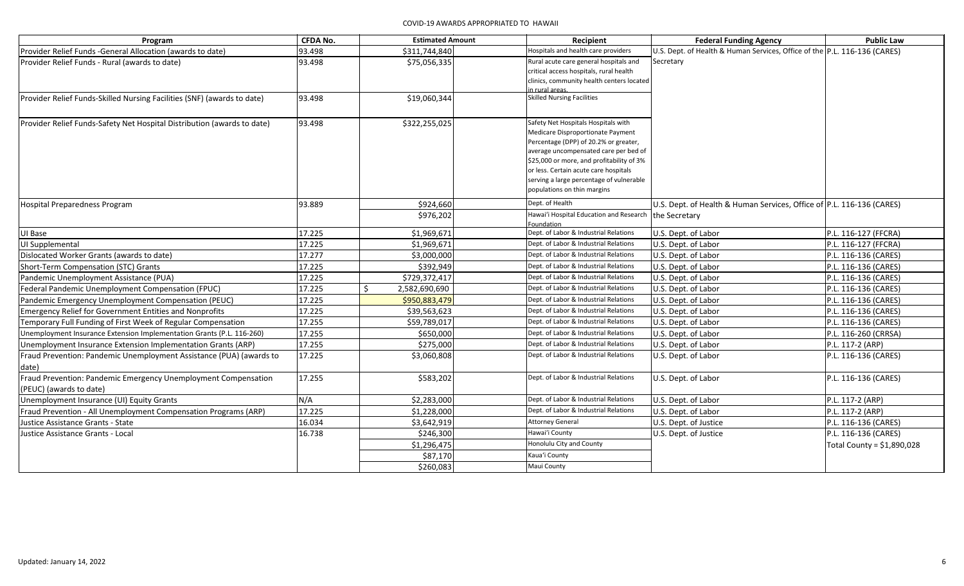| Program                                                                                   | <b>CFDA No.</b> | <b>Estimated Amount</b> | Recipient                                                                                                                                                                                                                                                                                                                   | <b>Federal Funding Agency</b>                                                          | <b>Public Law</b>           |
|-------------------------------------------------------------------------------------------|-----------------|-------------------------|-----------------------------------------------------------------------------------------------------------------------------------------------------------------------------------------------------------------------------------------------------------------------------------------------------------------------------|----------------------------------------------------------------------------------------|-----------------------------|
| Provider Relief Funds - General Allocation (awards to date)                               | 93.498          | \$311,744,840           | Hospitals and health care providers                                                                                                                                                                                                                                                                                         | U.S. Dept. of Health & Human Services, Office of the P.L. 116-136 (CARES)              |                             |
| Provider Relief Funds - Rural (awards to date)                                            | 93.498          | \$75,056,335            | Rural acute care general hospitals and<br>critical access hospitals, rural health<br>clinics, community health centers located<br>n rural areas.                                                                                                                                                                            | Secretary                                                                              |                             |
| Provider Relief Funds-Skilled Nursing Facilities (SNF) (awards to date)                   | 93.498          | \$19,060,344            | <b>Skilled Nursing Facilities</b>                                                                                                                                                                                                                                                                                           |                                                                                        |                             |
| Provider Relief Funds-Safety Net Hospital Distribution (awards to date)                   | 93.498          | \$322,255,025           | Safety Net Hospitals Hospitals with<br>Medicare Disproportionate Payment<br>Percentage (DPP) of 20.2% or greater,<br>average uncompensated care per bed of<br>\$25,000 or more, and profitability of 3%<br>or less. Certain acute care hospitals<br>serving a large percentage of vulnerable<br>populations on thin margins |                                                                                        |                             |
| <b>Hospital Preparedness Program</b>                                                      | 93.889          | \$924,660<br>\$976,202  | Dept. of Health<br>Hawai'i Hospital Education and Research<br>Foundation                                                                                                                                                                                                                                                    | U.S. Dept. of Health & Human Services, Office of P.L. 116-136 (CARES)<br>the Secretary |                             |
| UI Base                                                                                   | 17.225          | \$1,969,671             | Dept. of Labor & Industrial Relations                                                                                                                                                                                                                                                                                       | U.S. Dept. of Labor                                                                    | P.L. 116-127 (FFCRA)        |
| UI Supplemental                                                                           | 17.225          | \$1,969,671             | Dept. of Labor & Industrial Relations                                                                                                                                                                                                                                                                                       | U.S. Dept. of Labor                                                                    | P.L. 116-127 (FFCRA)        |
| Dislocated Worker Grants (awards to date)                                                 | 17.277          | \$3,000,000             | Dept. of Labor & Industrial Relations                                                                                                                                                                                                                                                                                       | U.S. Dept. of Labor                                                                    | P.L. 116-136 (CARES)        |
| Short-Term Compensation (STC) Grants                                                      | 17.225          | \$392,949               | Dept. of Labor & Industrial Relations                                                                                                                                                                                                                                                                                       | U.S. Dept. of Labor                                                                    | P.L. 116-136 (CARES)        |
| Pandemic Unemployment Assistance (PUA)                                                    | 17.225          | \$729,372,417           | Dept. of Labor & Industrial Relations                                                                                                                                                                                                                                                                                       | U.S. Dept. of Labor                                                                    | P.L. 116-136 (CARES)        |
| Federal Pandemic Unemployment Compensation (FPUC)                                         | 17.225          | Š.<br>2,582,690,690     | Dept. of Labor & Industrial Relations                                                                                                                                                                                                                                                                                       | U.S. Dept. of Labor                                                                    | P.L. 116-136 (CARES)        |
| Pandemic Emergency Unemployment Compensation (PEUC)                                       | 17.225          | \$950,883,479           | Dept. of Labor & Industrial Relations                                                                                                                                                                                                                                                                                       | U.S. Dept. of Labor                                                                    | P.L. 116-136 (CARES)        |
| <b>Emergency Relief for Government Entities and Nonprofits</b>                            | 17.225          | \$39,563,623            | Dept. of Labor & Industrial Relations                                                                                                                                                                                                                                                                                       | U.S. Dept. of Labor                                                                    | P.L. 116-136 (CARES)        |
| Temporary Full Funding of First Week of Regular Compensation                              | 17.255          | \$59,789,017            | Dept. of Labor & Industrial Relations                                                                                                                                                                                                                                                                                       | U.S. Dept. of Labor                                                                    | P.L. 116-136 (CARES)        |
| Unemployment Insurance Extension Implementation Grants (P.L. 116-260)                     | 17.255          | \$650,000               | Dept. of Labor & Industrial Relations                                                                                                                                                                                                                                                                                       | U.S. Dept. of Labor                                                                    | P.L. 116-260 (CRRSA)        |
| Unemployment Insurance Extension Implementation Grants (ARP)                              | 17.255          | \$275,000               | Dept. of Labor & Industrial Relations                                                                                                                                                                                                                                                                                       | U.S. Dept. of Labor                                                                    | P.L. 117-2 (ARP)            |
| Fraud Prevention: Pandemic Unemployment Assistance (PUA) (awards to<br>date)              | 17.225          | \$3,060,808             | Dept. of Labor & Industrial Relations                                                                                                                                                                                                                                                                                       | U.S. Dept. of Labor                                                                    | P.L. 116-136 (CARES)        |
| Fraud Prevention: Pandemic Emergency Unemployment Compensation<br>(PEUC) (awards to date) | 17.255          | \$583,202               | Dept. of Labor & Industrial Relations                                                                                                                                                                                                                                                                                       | U.S. Dept. of Labor                                                                    | P.L. 116-136 (CARES)        |
| Unemployment Insurance (UI) Equity Grants                                                 | N/A             | \$2,283,000             | Dept. of Labor & Industrial Relations                                                                                                                                                                                                                                                                                       | U.S. Dept. of Labor                                                                    | P.L. 117-2 (ARP)            |
| Fraud Prevention - All Unemployment Compensation Programs (ARP)                           | 17.225          | \$1,228,000             | Dept. of Labor & Industrial Relations                                                                                                                                                                                                                                                                                       | U.S. Dept. of Labor                                                                    | P.L. 117-2 (ARP)            |
| Justice Assistance Grants - State                                                         | 16.034          | \$3,642,919             | <b>Attorney General</b>                                                                                                                                                                                                                                                                                                     | U.S. Dept. of Justice                                                                  | P.L. 116-136 (CARES)        |
| Justice Assistance Grants - Local                                                         | 16.738          | \$246,300               | Hawai'i County                                                                                                                                                                                                                                                                                                              | U.S. Dept. of Justice                                                                  | P.L. 116-136 (CARES)        |
|                                                                                           |                 | \$1,296,475             | Honolulu City and County                                                                                                                                                                                                                                                                                                    |                                                                                        | Total County = $$1,890,028$ |
|                                                                                           |                 | \$87,170                | Kaua'i County                                                                                                                                                                                                                                                                                                               |                                                                                        |                             |
|                                                                                           |                 | \$260,083               | Maui County                                                                                                                                                                                                                                                                                                                 |                                                                                        |                             |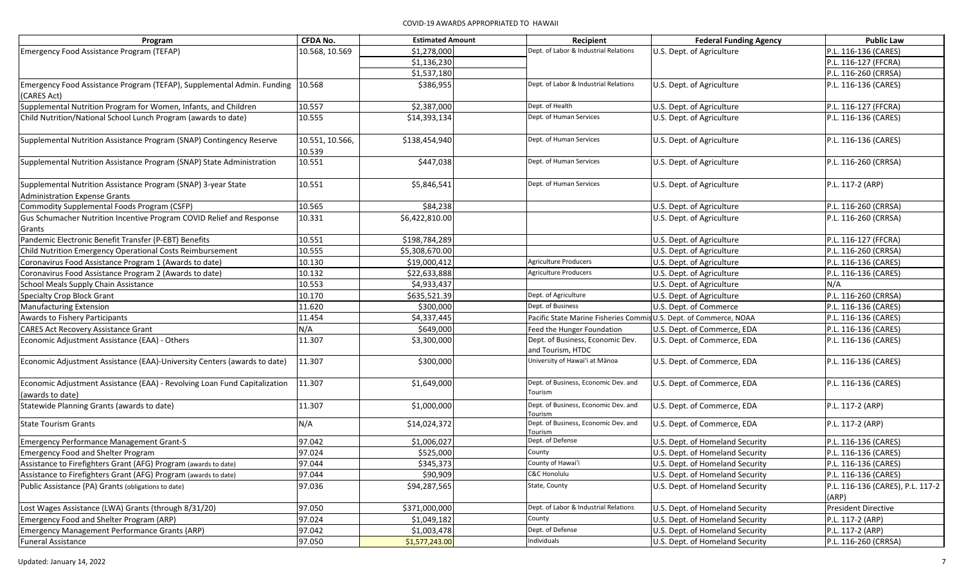| Program                                                                                        | <b>CFDA No.</b>           | <b>Estimated Amount</b> | Recipient                                             | <b>Federal Funding Agency</b>   | <b>Public Law</b>                         |
|------------------------------------------------------------------------------------------------|---------------------------|-------------------------|-------------------------------------------------------|---------------------------------|-------------------------------------------|
| Emergency Food Assistance Program (TEFAP)                                                      | 10.568, 10.569            | \$1,278,000             | Dept. of Labor & Industrial Relations                 | U.S. Dept. of Agriculture       | P.L. 116-136 (CARES)                      |
|                                                                                                |                           | \$1,136,230             |                                                       |                                 | P.L. 116-127 (FFCRA)                      |
|                                                                                                |                           | \$1,537,180             |                                                       |                                 | P.L. 116-260 (CRRSA)                      |
| Emergency Food Assistance Program (TEFAP), Supplemental Admin. Funding   10.568<br>(CARES Act) |                           | \$386,955               | Dept. of Labor & Industrial Relations                 | U.S. Dept. of Agriculture       | P.L. 116-136 (CARES)                      |
| Supplemental Nutrition Program for Women, Infants, and Children                                | 10.557                    | \$2,387,000             | Dept. of Health                                       | U.S. Dept. of Agriculture       | P.L. 116-127 (FFCRA)                      |
| Child Nutrition/National School Lunch Program (awards to date)                                 | 10.555                    | \$14,393,134            | Dept. of Human Services                               | U.S. Dept. of Agriculture       | P.L. 116-136 (CARES)                      |
| Supplemental Nutrition Assistance Program (SNAP) Contingency Reserve                           | 10.551, 10.566,<br>10.539 | \$138,454,940           | Dept. of Human Services                               | U.S. Dept. of Agriculture       | P.L. 116-136 (CARES)                      |
| Supplemental Nutrition Assistance Program (SNAP) State Administration                          | 10.551                    | \$447,038               | Dept. of Human Services                               | U.S. Dept. of Agriculture       | P.L. 116-260 (CRRSA)                      |
| Supplemental Nutrition Assistance Program (SNAP) 3-year State                                  | 10.551                    | \$5,846,541             | Dept. of Human Services                               | U.S. Dept. of Agriculture       | P.L. 117-2 (ARP)                          |
| <b>Administration Expense Grants</b>                                                           |                           |                         |                                                       |                                 |                                           |
| Commodity Supplemental Foods Program (CSFP)                                                    | 10.565                    | \$84,238                |                                                       | U.S. Dept. of Agriculture       | P.L. 116-260 (CRRSA)                      |
| Gus Schumacher Nutrition Incentive Program COVID Relief and Response                           | 10.331                    | \$6,422,810.00          |                                                       | U.S. Dept. of Agriculture       | P.L. 116-260 (CRRSA)                      |
| Grants                                                                                         |                           |                         |                                                       |                                 |                                           |
| Pandemic Electronic Benefit Transfer (P-EBT) Benefits                                          | 10.551                    | \$198,784,289           |                                                       | U.S. Dept. of Agriculture       | P.L. 116-127 (FFCRA)                      |
| Child Nutrition Emergency Operational Costs Reimbursement                                      | 10.555                    | \$5,308,670.00          |                                                       | U.S. Dept. of Agriculture       | P.L. 116-260 (CRRSA)                      |
| Coronavirus Food Assistance Program 1 (Awards to date)                                         | 10.130                    | \$19,000,412            | <b>Agriculture Producers</b>                          | U.S. Dept. of Agriculture       | P.L. 116-136 (CARES)                      |
| Coronavirus Food Assistance Program 2 (Awards to date)                                         | 10.132                    | \$22,633,888            | <b>Agriculture Producers</b>                          | U.S. Dept. of Agriculture       | P.L. 116-136 (CARES)                      |
| School Meals Supply Chain Assistance                                                           | 10.553                    | \$4,933,437             |                                                       | U.S. Dept. of Agriculture       | N/A                                       |
| Specialty Crop Block Grant                                                                     | 10.170                    | \$635,521.39            | Dept. of Agriculture                                  | U.S. Dept. of Agriculture       | P.L. 116-260 (CRRSA)                      |
| <b>Manufacturing Extension</b>                                                                 | 11.620                    | \$300,000               | Dept. of Business                                     | U.S. Dept. of Commerce          | P.L. 116-136 (CARES)                      |
| Awards to Fishery Participants                                                                 | 11.454                    | \$4,337,445             | Pacific State Marine Fisheries Comm                   | is U.S. Dept. of Commerce, NOAA | P.L. 116-136 (CARES)                      |
| <b>CARES Act Recovery Assistance Grant</b>                                                     | N/A                       | \$649,000               | Feed the Hunger Foundation                            | U.S. Dept. of Commerce, EDA     | P.L. 116-136 (CARES)                      |
| Economic Adjustment Assistance (EAA) - Others                                                  | 11.307                    | \$3,300,000             | Dept. of Business, Economic Dev.<br>and Tourism, HTDC | U.S. Dept. of Commerce, EDA     | P.L. 116-136 (CARES)                      |
| Economic Adjustment Assistance (EAA)-University Centers (awards to date)                       | 11.307                    | \$300,000               | University of Hawai'i at Mānoa                        | U.S. Dept. of Commerce, EDA     | P.L. 116-136 (CARES)                      |
| Economic Adjustment Assistance (EAA) - Revolving Loan Fund Capitalization<br>(awards to date)  | 11.307                    | \$1,649,000             | Dept. of Business, Economic Dev. and<br>Tourism       | U.S. Dept. of Commerce, EDA     | P.L. 116-136 (CARES)                      |
| Statewide Planning Grants (awards to date)                                                     | 11.307                    | \$1,000,000             | Dept. of Business, Economic Dev. and<br>Tourism       | U.S. Dept. of Commerce, EDA     | P.L. 117-2 (ARP)                          |
| <b>State Tourism Grants</b>                                                                    | N/A                       | \$14,024,372            | Dept. of Business, Economic Dev. and<br>Tourism       | U.S. Dept. of Commerce, EDA     | P.L. 117-2 (ARP)                          |
| <b>Emergency Performance Management Grant-S</b>                                                | 97.042                    | \$1,006,027             | Dept. of Defense                                      | U.S. Dept. of Homeland Security | P.L. 116-136 (CARES)                      |
| <b>Emergency Food and Shelter Program</b>                                                      | 97.024                    | \$525,000               | County                                                | U.S. Dept. of Homeland Security | P.L. 116-136 (CARES)                      |
| Assistance to Firefighters Grant (AFG) Program (awards to date)                                | 97.044                    | \$345,373               | County of Hawai'i                                     | U.S. Dept. of Homeland Security | P.L. 116-136 (CARES)                      |
| Assistance to Firefighters Grant (AFG) Program (awards to date)                                | 97.044                    | \$90,909                | C&C Honolulu                                          | U.S. Dept. of Homeland Security | P.L. 116-136 (CARES)                      |
| Public Assistance (PA) Grants (obligations to date)                                            | 97.036                    | \$94,287,565            | State, County                                         | U.S. Dept. of Homeland Security | P.L. 116-136 (CARES), P.L. 117-2<br>(ARP) |
| Lost Wages Assistance (LWA) Grants (through 8/31/20)                                           | 97.050                    | \$371,000,000           | Dept. of Labor & Industrial Relations                 | U.S. Dept. of Homeland Security | <b>President Directive</b>                |
| Emergency Food and Shelter Program (ARP)                                                       | 97.024                    | \$1,049,182             | County                                                | U.S. Dept. of Homeland Security | P.L. 117-2 (ARP)                          |
| Emergency Management Performance Grants (ARP)                                                  | 97.042                    | \$1,003,478             | Dept. of Defense                                      | U.S. Dept. of Homeland Security | P.L. 117-2 (ARP)                          |
| <b>Funeral Assistance</b>                                                                      | 97.050                    | \$1,577,243.00          | Individuals                                           | U.S. Dept. of Homeland Security | P.L. 116-260 (CRRSA)                      |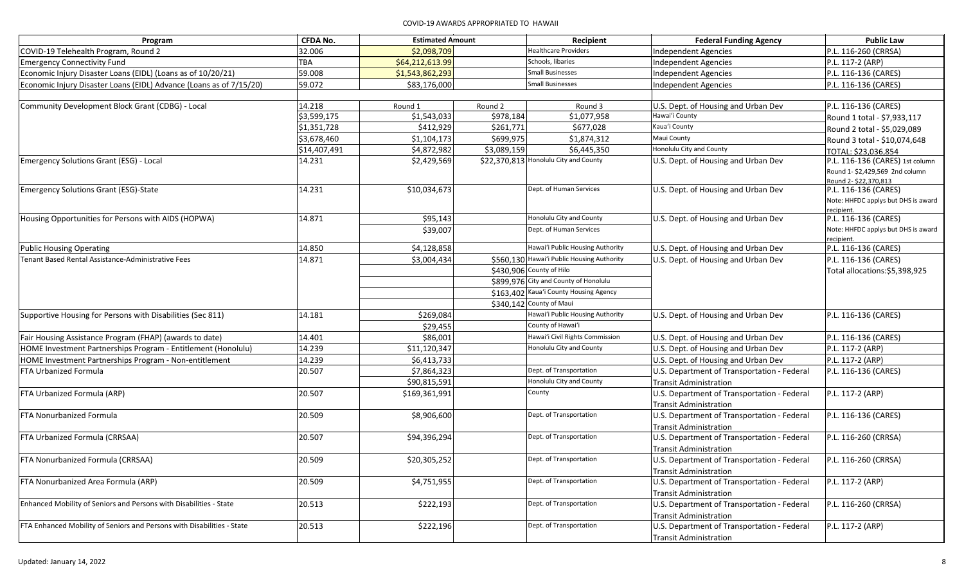| <b>Healthcare Providers</b><br>32.006<br>COVID-19 Telehealth Program, Round 2<br>\$2,098,709<br><b>Independent Agencies</b>                                             | P.L. 116-260 (CRRSA)                |
|-------------------------------------------------------------------------------------------------------------------------------------------------------------------------|-------------------------------------|
|                                                                                                                                                                         |                                     |
| TBA<br>Schools, libaries<br>\$64,212,613.99<br><b>Emergency Connectivity Fund</b><br>Independent Agencies                                                               | P.L. 117-2 (ARP)                    |
| 59.008<br><b>Small Businesses</b><br>Economic Injury Disaster Loans (EIDL) (Loans as of 10/20/21)<br>\$1,543,862,293<br>Independent Agencies                            | P.L. 116-136 (CARES)                |
| <b>Small Businesses</b><br>Economic Injury Disaster Loans (EIDL) Advance (Loans as of 7/15/20)<br>59.072<br>\$83,176,000<br>Independent Agencies                        | P.L. 116-136 (CARES)                |
|                                                                                                                                                                         |                                     |
| Community Development Block Grant (CDBG) - Local<br>14.218<br>Round 1<br>Round 2<br>Round 3<br>U.S. Dept. of Housing and Urban Dev                                      | P.L. 116-136 (CARES)                |
| \$1,543,033<br>Hawai'i County<br>\$3,599,175<br>\$978,184<br>\$1,077,958                                                                                                | Round 1 total - \$7,933,117         |
| Kaua'i County<br>\$1,351,728<br>\$412,929<br>\$261,771<br>\$677,028                                                                                                     | Round 2 total - \$5,029,089         |
| Maui County<br>\$3,678,460<br>\$699,975<br>\$1,104,173<br>\$1,874,312                                                                                                   | Round 3 total - \$10,074,648        |
| Honolulu City and County<br>\$4,872,982<br>\$3,089,159<br>\$14,407,491<br>\$6,445,350                                                                                   | TOTAL: \$23.036.854                 |
| \$22,370,813 Honolulu City and County<br>Emergency Solutions Grant (ESG) - Local<br>14.231<br>\$2,429,569<br>U.S. Dept. of Housing and Urban Dev                        | P.L. 116-136 (CARES) 1st column     |
|                                                                                                                                                                         | Round 1-\$2,429,569 2nd column      |
| Dept. of Human Services                                                                                                                                                 | Round 2-\$22,370,813                |
| 14.231<br>\$10,034,673<br>U.S. Dept. of Housing and Urban Dev<br><b>Emergency Solutions Grant (ESG)-State</b>                                                           | P.L. 116-136 (CARES)                |
| recipient.                                                                                                                                                              | Note: HHFDC applys but DHS is award |
| Honolulu City and County<br>14.871<br>\$95,143<br>Housing Opportunities for Persons with AIDS (HOPWA)<br>U.S. Dept. of Housing and Urban Dev                            | P.L. 116-136 (CARES)                |
| Dept. of Human Services<br>\$39,007                                                                                                                                     | Note: HHFDC applys but DHS is award |
| recipient.                                                                                                                                                              |                                     |
| Hawai'i Public Housing Authority<br>14.850<br>\$4,128,858<br><b>Public Housing Operating</b><br>U.S. Dept. of Housing and Urban Dev                                     | P.L. 116-136 (CARES)                |
| Tenant Based Rental Assistance-Administrative Fees<br>14.871<br>\$560,130 Hawai'i Public Housing Authority<br>U.S. Dept. of Housing and Urban Dev<br>\$3,004,434        | P.L. 116-136 (CARES)                |
| \$430,906 County of Hilo                                                                                                                                                | Total allocations:\$5,398,925       |
| \$899,976 City and County of Honolulu                                                                                                                                   |                                     |
| \$163,402 Kaua'i County Housing Agency                                                                                                                                  |                                     |
| \$340,142 County of Maui                                                                                                                                                |                                     |
| Hawai'i Public Housing Authority<br>Supportive Housing for Persons with Disabilities (Sec 811)<br>14.181<br>\$269,084<br>U.S. Dept. of Housing and Urban Dev            | P.L. 116-136 (CARES)                |
| County of Hawai'i<br>\$29,455                                                                                                                                           |                                     |
| Hawai'i Civil Rights Commission<br>Fair Housing Assistance Program (FHAP) (awards to date)<br>14.401<br>\$86,001<br>U.S. Dept. of Housing and Urban Dev                 | P.L. 116-136 (CARES)                |
| 14.239<br>Honolulu City and County<br>HOME Investment Partnerships Program - Entitlement (Honolulu)<br>\$11,120,347<br>U.S. Dept. of Housing and Urban Dev              | P.L. 117-2 (ARP)                    |
| 14.239<br>\$6,413,733<br>U.S. Dept. of Housing and Urban Dev<br>HOME Investment Partnerships Program - Non-entitlement                                                  | P.L. 117-2 (ARP)                    |
| Dept. of Transportation<br>\$7,864,323<br><b>FTA Urbanized Formula</b><br>20.507<br>U.S. Department of Transportation - Federal                                         | P.L. 116-136 (CARES)                |
| Honolulu City and County<br>\$90,815,591<br>Transit Administration                                                                                                      |                                     |
| County<br>FTA Urbanized Formula (ARP)<br>20.507<br>U.S. Department of Transportation - Federal<br>\$169,361,991                                                         | P.L. 117-2 (ARP)                    |
| <b>Transit Administration</b>                                                                                                                                           |                                     |
| Dept. of Transportation<br>FTA Nonurbanized Formula<br>20.509<br>\$8,906,600<br>U.S. Department of Transportation - Federal                                             | P.L. 116-136 (CARES)                |
| Transit Administration                                                                                                                                                  |                                     |
| FTA Urbanized Formula (CRRSAA)<br>20.507<br>\$94,396,294<br>Dept. of Transportation<br>U.S. Department of Transportation - Federal                                      | P.L. 116-260 (CRRSA)                |
| <b>Transit Administration</b>                                                                                                                                           |                                     |
| Dept. of Transportation<br>FTA Nonurbanized Formula (CRRSAA)<br>20.509<br>U.S. Department of Transportation - Federal<br>\$20,305,252                                   | P.L. 116-260 (CRRSA)                |
| <b>Transit Administration</b>                                                                                                                                           |                                     |
| Dept. of Transportation<br>FTA Nonurbanized Area Formula (ARP)<br>U.S. Department of Transportation - Federal<br>20.509<br>\$4,751,955                                  | P.L. 117-2 (ARP)                    |
| <b>Transit Administration</b>                                                                                                                                           |                                     |
| Enhanced Mobility of Seniors and Persons with Disabilities - State<br>Dept. of Transportation<br>U.S. Department of Transportation - Federal<br>20.513<br>\$222,193     | P.L. 116-260 (CRRSA)                |
| <b>Transit Administration</b>                                                                                                                                           |                                     |
| FTA Enhanced Mobility of Seniors and Persons with Disabilities - State<br>20.513<br>\$222,196<br>Dept. of Transportation<br>U.S. Department of Transportation - Federal | P.L. 117-2 (ARP)                    |
| <b>Transit Administration</b>                                                                                                                                           |                                     |